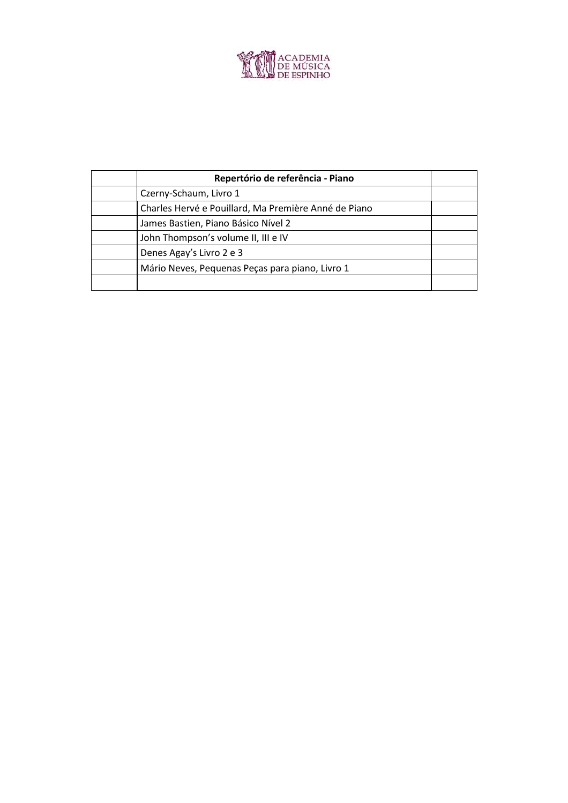

| Repertório de referência - Piano                     |  |
|------------------------------------------------------|--|
| Czerny-Schaum, Livro 1                               |  |
| Charles Hervé e Pouillard, Ma Première Anné de Piano |  |
| James Bastien, Piano Básico Nível 2                  |  |
| John Thompson's volume II, III e IV                  |  |
| Denes Agay's Livro 2 e 3                             |  |
| Mário Neves, Pequenas Peças para piano, Livro 1      |  |
|                                                      |  |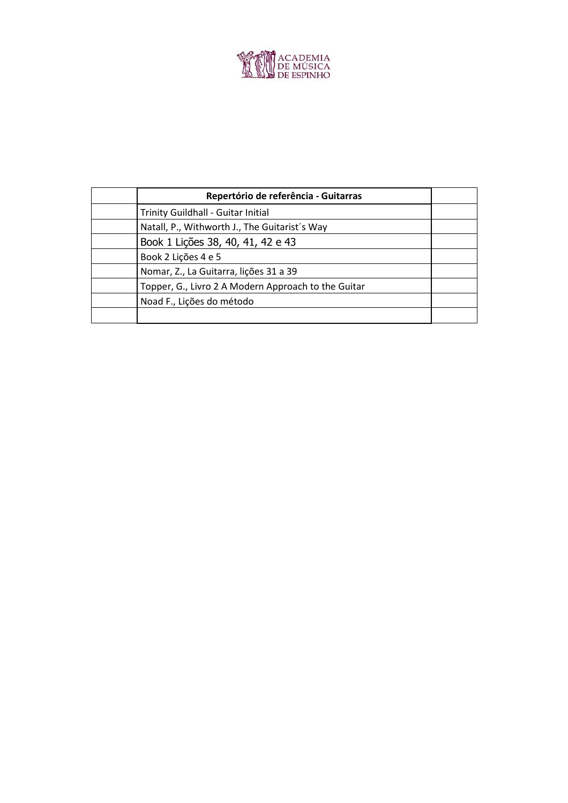

| Repertório de referência - Guitarras                |  |
|-----------------------------------------------------|--|
| <b>Trinity Guildhall - Guitar Initial</b>           |  |
| Natall, P., Withworth J., The Guitarist's Way       |  |
| Book 1 Lições 38, 40, 41, 42 e 43                   |  |
| Book 2 Lições 4 e 5                                 |  |
| Nomar, Z., La Guitarra, lições 31 a 39              |  |
| Topper, G., Livro 2 A Modern Approach to the Guitar |  |
| Noad F., Lições do método                           |  |
|                                                     |  |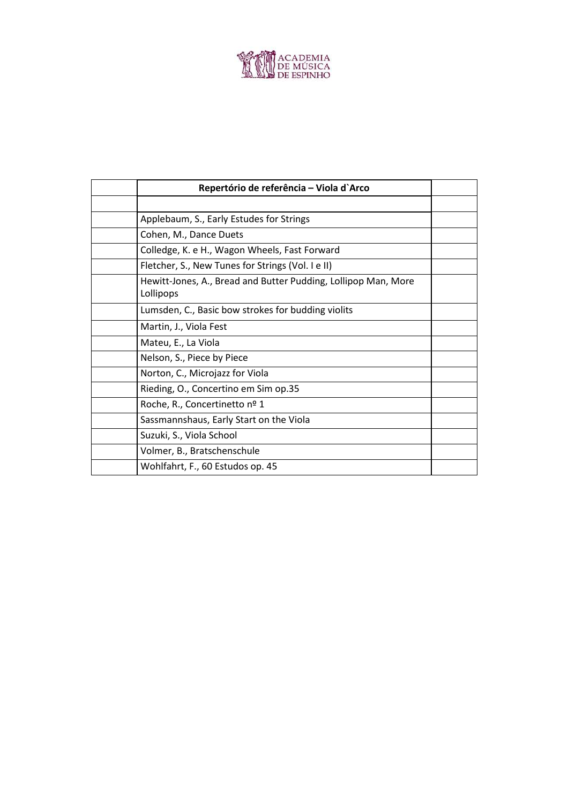

|           | Repertório de referência - Viola d'Arco                        |  |
|-----------|----------------------------------------------------------------|--|
|           |                                                                |  |
|           | Applebaum, S., Early Estudes for Strings                       |  |
|           | Cohen, M., Dance Duets                                         |  |
|           | Colledge, K. e H., Wagon Wheels, Fast Forward                  |  |
|           | Fletcher, S., New Tunes for Strings (Vol. I e II)              |  |
| Lollipops | Hewitt-Jones, A., Bread and Butter Pudding, Lollipop Man, More |  |
|           | Lumsden, C., Basic bow strokes for budding violits             |  |
|           | Martin, J., Viola Fest                                         |  |
|           | Mateu, E., La Viola                                            |  |
|           | Nelson, S., Piece by Piece                                     |  |
|           | Norton, C., Microjazz for Viola                                |  |
|           | Rieding, O., Concertino em Sim op.35                           |  |
|           | Roche, R., Concertinetto nº 1                                  |  |
|           | Sassmannshaus, Early Start on the Viola                        |  |
|           | Suzuki, S., Viola School                                       |  |
|           | Volmer, B., Bratschenschule                                    |  |
|           | Wohlfahrt, F., 60 Estudos op. 45                               |  |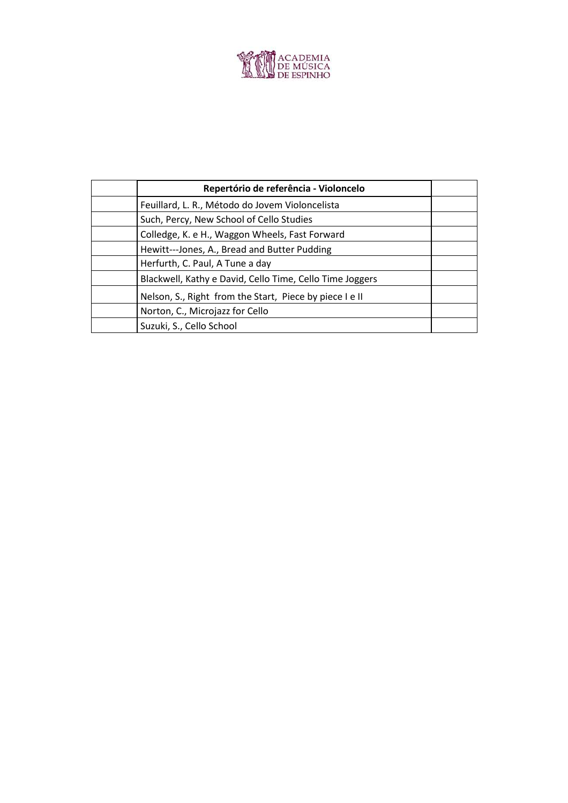

| Repertório de referência - Violoncelo                    |  |
|----------------------------------------------------------|--|
| Feuillard, L. R., Método do Jovem Violoncelista          |  |
| Such, Percy, New School of Cello Studies                 |  |
| Colledge, K. e H., Waggon Wheels, Fast Forward           |  |
| Hewitt---Jones, A., Bread and Butter Pudding             |  |
| Herfurth, C. Paul, A Tune a day                          |  |
| Blackwell, Kathy e David, Cello Time, Cello Time Joggers |  |
| Nelson, S., Right from the Start, Piece by piece I e II  |  |
| Norton, C., Microjazz for Cello                          |  |
| Suzuki, S., Cello School                                 |  |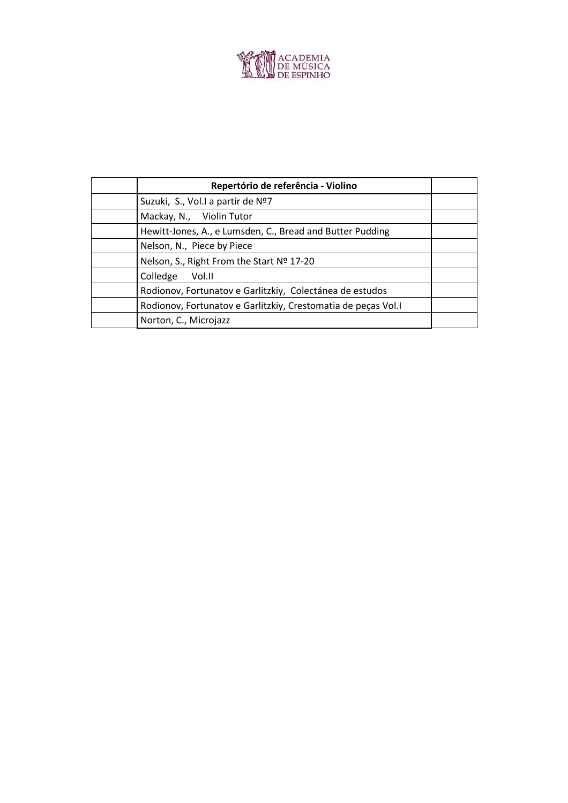

| Repertório de referência - Violino                            |  |
|---------------------------------------------------------------|--|
| Suzuki, S., Vol.I a partir de Nº7                             |  |
| Mackay, N., Violin Tutor                                      |  |
| Hewitt-Jones, A., e Lumsden, C., Bread and Butter Pudding     |  |
| Nelson, N., Piece by Piece                                    |  |
| Nelson, S., Right From the Start Nº 17-20                     |  |
| Colledge<br>- Vol.II                                          |  |
| Rodionov, Fortunatov e Garlitzkiy, Colectánea de estudos      |  |
| Rodionov, Fortunatov e Garlitzkiy, Crestomatia de peças Vol.I |  |
| Norton, C., Microjazz                                         |  |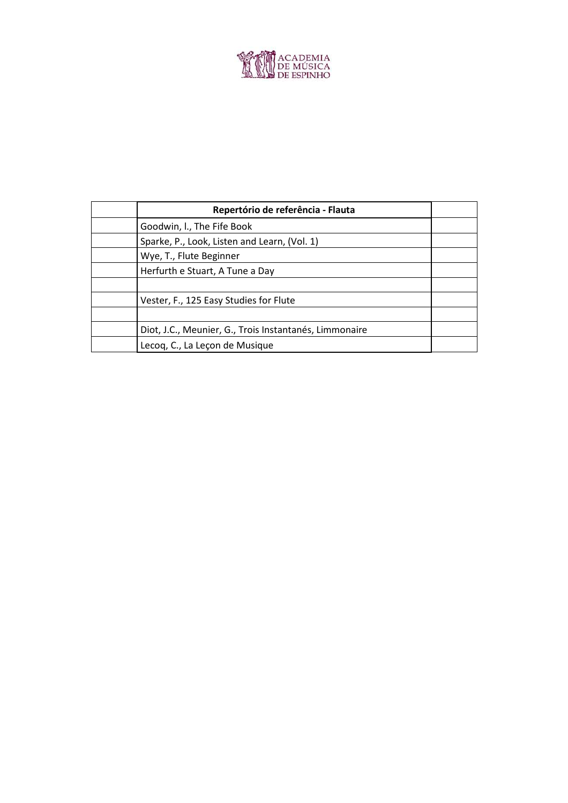

| Repertório de referência - Flauta                      |  |
|--------------------------------------------------------|--|
| Goodwin, I., The Fife Book                             |  |
| Sparke, P., Look, Listen and Learn, (Vol. 1)           |  |
| Wye, T., Flute Beginner                                |  |
| Herfurth e Stuart, A Tune a Day                        |  |
|                                                        |  |
| Vester, F., 125 Easy Studies for Flute                 |  |
|                                                        |  |
| Diot, J.C., Meunier, G., Trois Instantanés, Limmonaire |  |
| Lecoq, C., La Leçon de Musique                         |  |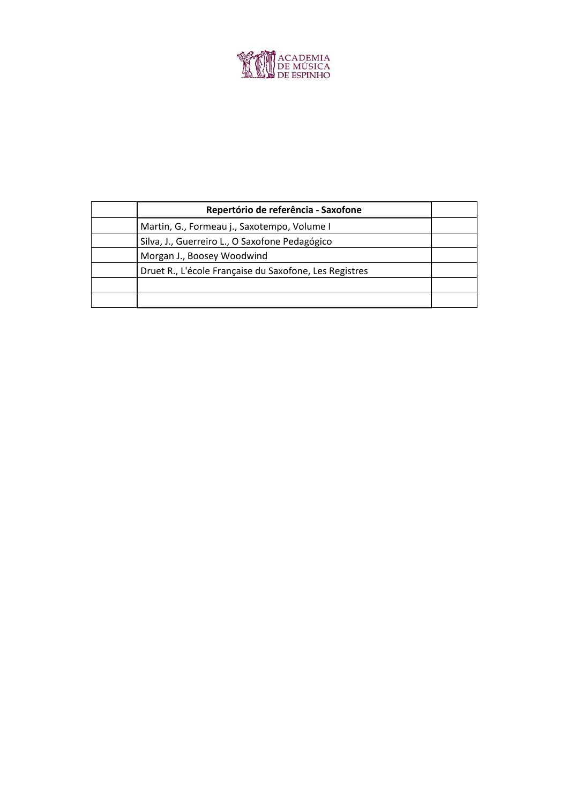

| Repertório de referência - Saxofone                    |  |
|--------------------------------------------------------|--|
| Martin, G., Formeau j., Saxotempo, Volume I            |  |
| Silva, J., Guerreiro L., O Saxofone Pedagógico         |  |
| Morgan J., Boosey Woodwind                             |  |
| Druet R., L'école Française du Saxofone, Les Registres |  |
|                                                        |  |
|                                                        |  |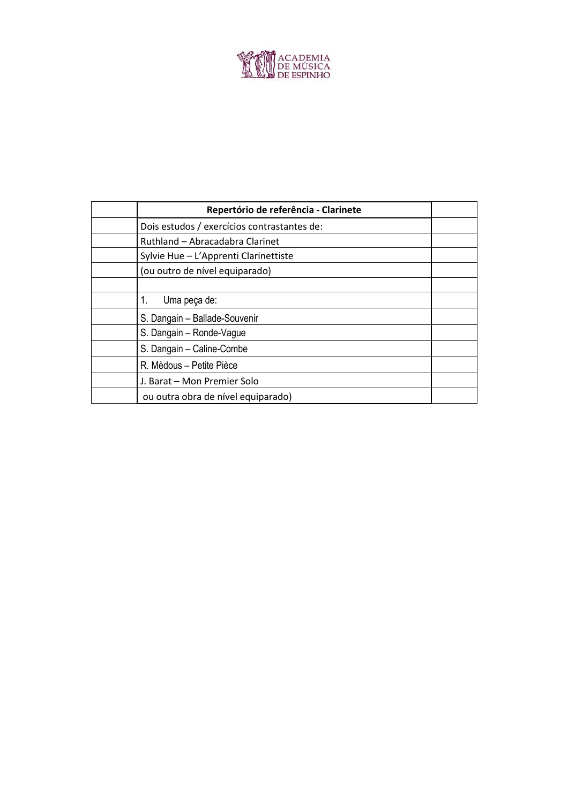

| Repertório de referência - Clarinete        |  |
|---------------------------------------------|--|
| Dois estudos / exercícios contrastantes de: |  |
| Ruthland - Abracadabra Clarinet             |  |
| Sylvie Hue - L'Apprenti Clarinettiste       |  |
| (ou outro de nível equiparado)              |  |
|                                             |  |
| 1.<br>Uma peça de:                          |  |
| S. Dangain - Ballade-Souvenir               |  |
| S. Dangain - Ronde-Vague                    |  |
| S. Dangain - Caline-Combe                   |  |
| R. Mèdous – Petite Pièce                    |  |
| J. Barat - Mon Premier Solo                 |  |
| ou outra obra de nível equiparado)          |  |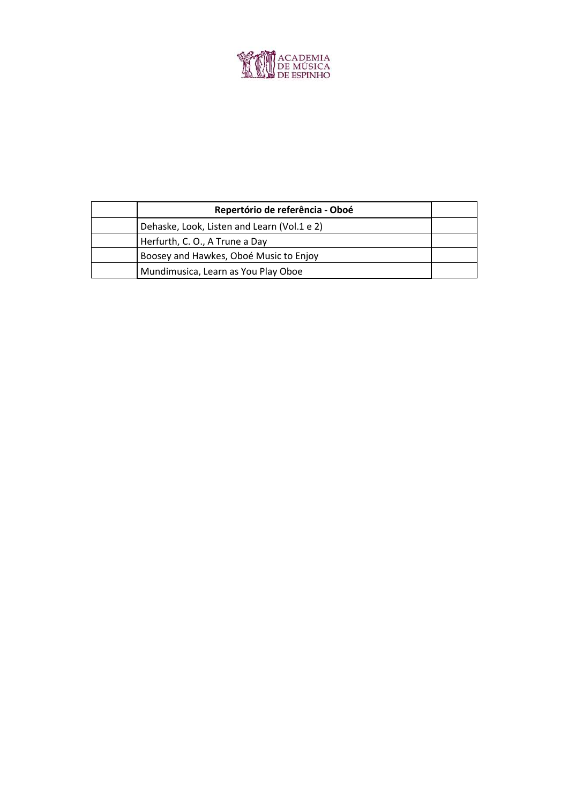

| Repertório de referência - Oboé             |  |
|---------------------------------------------|--|
| Dehaske, Look, Listen and Learn (Vol.1 e 2) |  |
| Herfurth, C. O., A Trune a Day              |  |
| Boosey and Hawkes, Oboé Music to Enjoy      |  |
| Mundimusica, Learn as You Play Oboe         |  |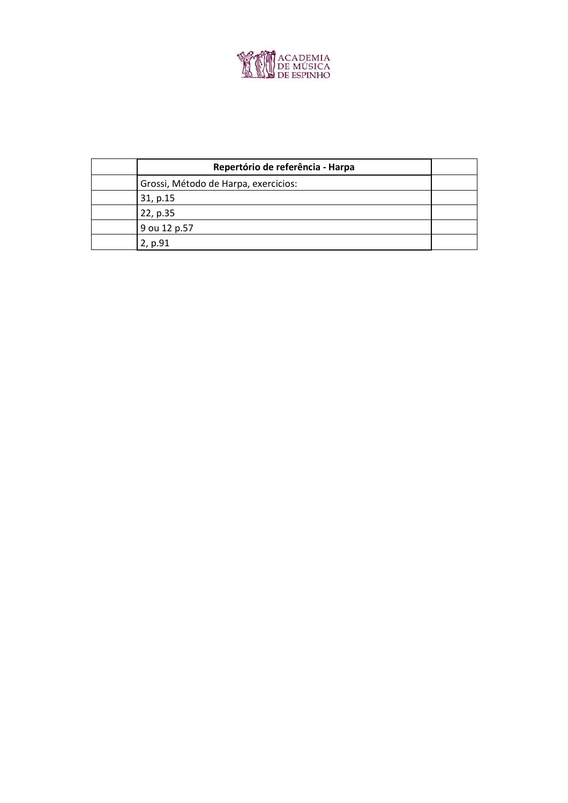

| Repertório de referência - Harpa     |  |
|--------------------------------------|--|
| Grossi, Método de Harpa, exercicios: |  |
| 31, p.15                             |  |
| 22, p.35                             |  |
| 9 ou 12 p.57                         |  |
| 2, p.91                              |  |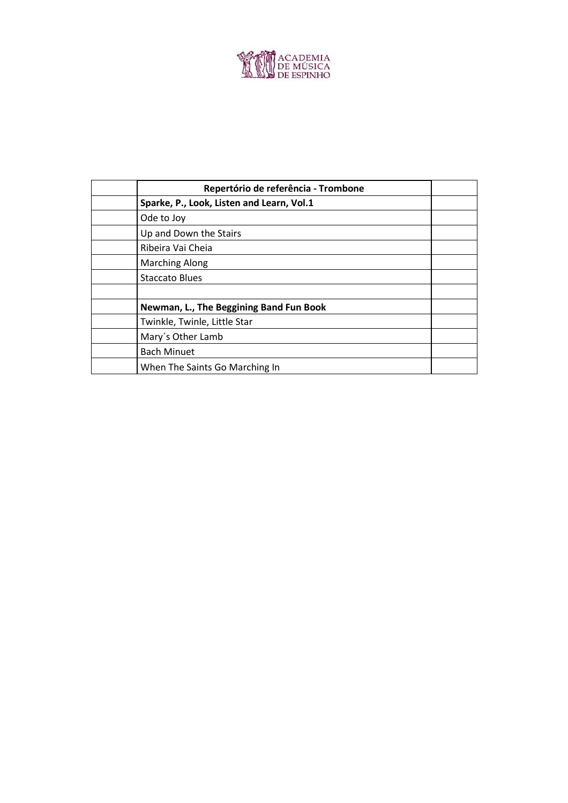

| Repertório de referência - Trombone       |  |
|-------------------------------------------|--|
| Sparke, P., Look, Listen and Learn, Vol.1 |  |
| Ode to Joy                                |  |
| Up and Down the Stairs                    |  |
| Ribeira Vai Cheia                         |  |
| <b>Marching Along</b>                     |  |
| <b>Staccato Blues</b>                     |  |
|                                           |  |
| Newman, L., The Beggining Band Fun Book   |  |
| Twinkle, Twinle, Little Star              |  |
| Mary's Other Lamb                         |  |
| <b>Bach Minuet</b>                        |  |
| When The Saints Go Marching In            |  |